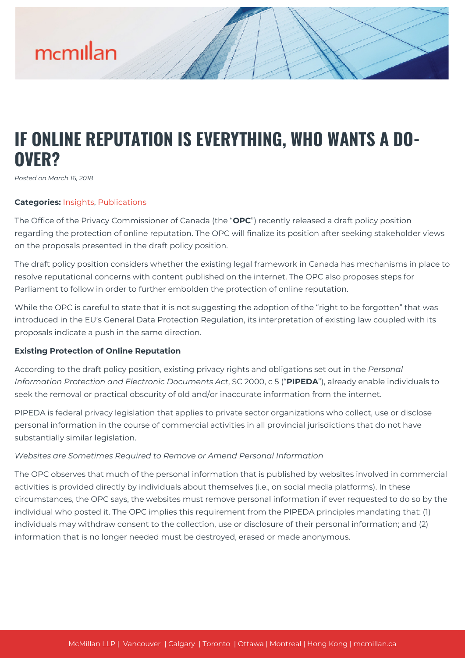# mcmillan

# **IF ONLINE REPUTATION IS EVERYTHING, WHO WANTS A DO-OVER?**

*Posted on March 16, 2018*

#### **Categories:** [Insights,](https://mcmillan.ca/insights/) [Publications](https://mcmillan.ca/insights/publications/)

The Office of the Privacy Commissioner of Canada (the "**OPC**") recently released a draft policy position regarding the protection of online reputation. The OPC will finalize its position after seeking stakeholder views on the proposals presented in the draft policy position.

The draft policy position considers whether the existing legal framework in Canada has mechanisms in place to resolve reputational concerns with content published on the internet. The OPC also proposes steps for Parliament to follow in order to further embolden the protection of online reputation.

While the OPC is careful to state that it is not suggesting the adoption of the "right to be forgotten" that was introduced in the EU's General Data Protection Regulation, its interpretation of existing law coupled with its proposals indicate a push in the same direction.

#### **Existing Protection of Online Reputation**

According to the draft policy position, existing privacy rights and obligations set out in the *Personal Information Protection and Electronic Documents Act*, SC 2000, c 5 ("**PIPEDA**"), already enable individuals to seek the removal or practical obscurity of old and/or inaccurate information from the internet.

PIPEDA is federal privacy legislation that applies to private sector organizations who collect, use or disclose personal information in the course of commercial activities in all provincial jurisdictions that do not have substantially similar legislation.

#### *Websites are Sometimes Required to Remove or Amend Personal Information*

The OPC observes that much of the personal information that is published by websites involved in commercial activities is provided directly by individuals about themselves (i.e., on social media platforms). In these circumstances, the OPC says, the websites must remove personal information if ever requested to do so by the individual who posted it. The OPC implies this requirement from the PIPEDA principles mandating that: (1) individuals may withdraw consent to the collection, use or disclosure of their personal information; and (2) information that is no longer needed must be destroyed, erased or made anonymous.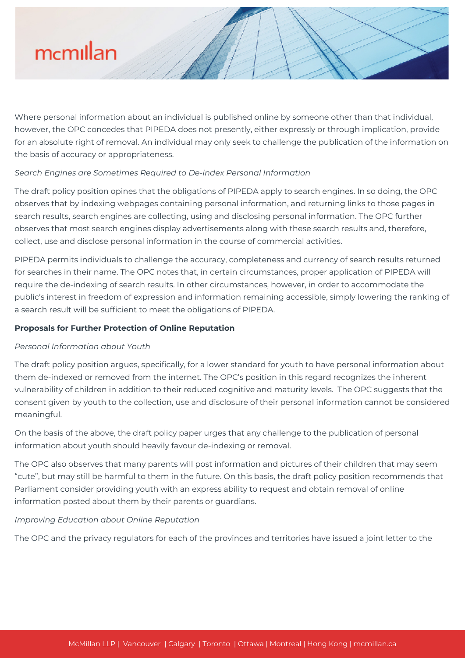

Where personal information about an individual is published online by someone other than that individual, however, the OPC concedes that PIPEDA does not presently, either expressly or through implication, provide for an absolute right of removal. An individual may only seek to challenge the publication of the information on the basis of accuracy or appropriateness.

## *Search Engines are Sometimes Required to De-index Personal Information*

The draft policy position opines that the obligations of PIPEDA apply to search engines. In so doing, the OPC observes that by indexing webpages containing personal information, and returning links to those pages in search results, search engines are collecting, using and disclosing personal information. The OPC further observes that most search engines display advertisements along with these search results and, therefore, collect, use and disclose personal information in the course of commercial activities.

PIPEDA permits individuals to challenge the accuracy, completeness and currency of search results returned for searches in their name. The OPC notes that, in certain circumstances, proper application of PIPEDA will require the de-indexing of search results. In other circumstances, however, in order to accommodate the public's interest in freedom of expression and information remaining accessible, simply lowering the ranking of a search result will be sufficient to meet the obligations of PIPEDA.

#### **Proposals for Further Protection of Online Reputation**

#### *Personal Information about Youth*

The draft policy position argues, specifically, for a lower standard for youth to have personal information about them de-indexed or removed from the internet. The OPC's position in this regard recognizes the inherent vulnerability of children in addition to their reduced cognitive and maturity levels. The OPC suggests that the consent given by youth to the collection, use and disclosure of their personal information cannot be considered meaningful.

On the basis of the above, the draft policy paper urges that any challenge to the publication of personal information about youth should heavily favour de-indexing or removal.

The OPC also observes that many parents will post information and pictures of their children that may seem "cute", but may still be harmful to them in the future. On this basis, the draft policy position recommends that Parliament consider providing youth with an express ability to request and obtain removal of online information posted about them by their parents or guardians.

#### *Improving Education about Online Reputation*

The OPC and the privacy regulators for each of the provinces and territories have issued a joint letter to the